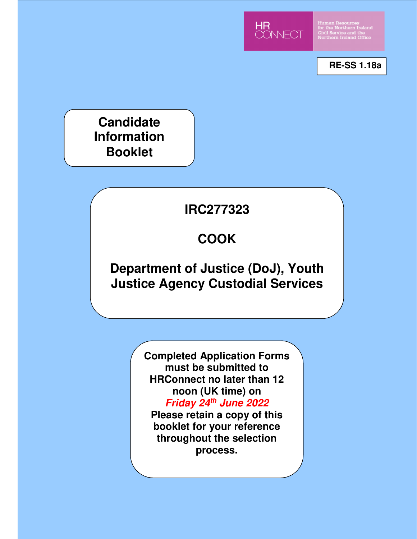

Human Resources<br>for the Northern Irela<br>Civil Service and the<br>Northern Ireland Offic

**RE-SS 1.18a**

**Candidate Information Booklet**

# **IRC277323**

# **COOK**

## **Department of Justice (DoJ), Youth Justice Agency Custodial Services**

**Completed Application Forms must be submitted to HRConnect no later than 12 noon (UK time) on Friday 24th June 2022** 

**Please retain a copy of this booklet for your reference throughout the selection process.**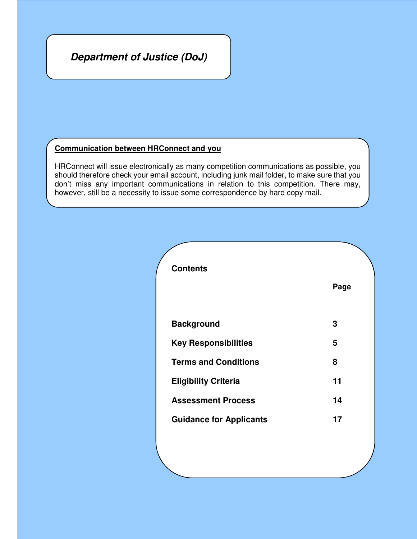### **Department of Justice (DoJ)**

#### **Communication between HRConnect and you**

HRConnect will issue electronically as many competition communications as possible, you should therefore check your email account, including junk mail folder, to make sure that you don't miss any important communications in relation to this competition. There may, however, still be a necessity to issue some correspondence by hard copy mail.

| <b>Contents</b>                |      |  |  |
|--------------------------------|------|--|--|
|                                | Page |  |  |
| <b>Background</b>              | 3    |  |  |
| <b>Key Responsibilities</b>    | 5    |  |  |
| <b>Terms and Conditions</b>    | 8    |  |  |
| <b>Eligibility Criteria</b>    | 11   |  |  |
| <b>Assessment Process</b>      | 14   |  |  |
| <b>Guidance for Applicants</b> | 17   |  |  |
|                                |      |  |  |
|                                |      |  |  |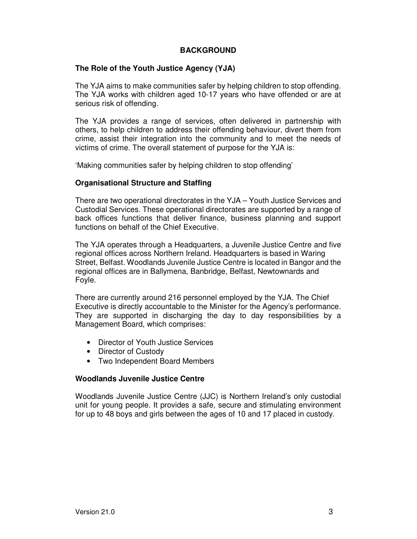#### **BACKGROUND**

#### **The Role of the Youth Justice Agency (YJA)**

The YJA aims to make communities safer by helping children to stop offending. The YJA works with children aged 10-17 years who have offended or are at serious risk of offending.

The YJA provides a range of services, often delivered in partnership with others, to help children to address their offending behaviour, divert them from crime, assist their integration into the community and to meet the needs of victims of crime. The overall statement of purpose for the YJA is:

'Making communities safer by helping children to stop offending'

#### **Organisational Structure and Staffing**

There are two operational directorates in the YJA – Youth Justice Services and Custodial Services. These operational directorates are supported by a range of back offices functions that deliver finance, business planning and support functions on behalf of the Chief Executive.

The YJA operates through a Headquarters, a Juvenile Justice Centre and five regional offices across Northern Ireland. Headquarters is based in Waring Street, Belfast. Woodlands Juvenile Justice Centre is located in Bangor and the regional offices are in Ballymena, Banbridge, Belfast, Newtownards and Foyle.

There are currently around 216 personnel employed by the YJA. The Chief Executive is directly accountable to the Minister for the Agency's performance. They are supported in discharging the day to day responsibilities by a Management Board, which comprises:

- Director of Youth Justice Services
- Director of Custody
- Two Independent Board Members

#### **Woodlands Juvenile Justice Centre**

Woodlands Juvenile Justice Centre (JJC) is Northern Ireland's only custodial unit for young people. It provides a safe, secure and stimulating environment for up to 48 boys and girls between the ages of 10 and 17 placed in custody.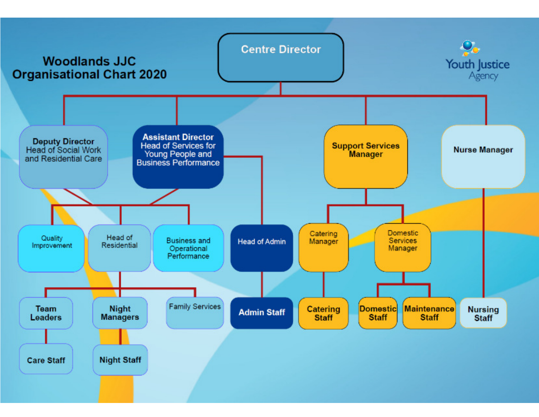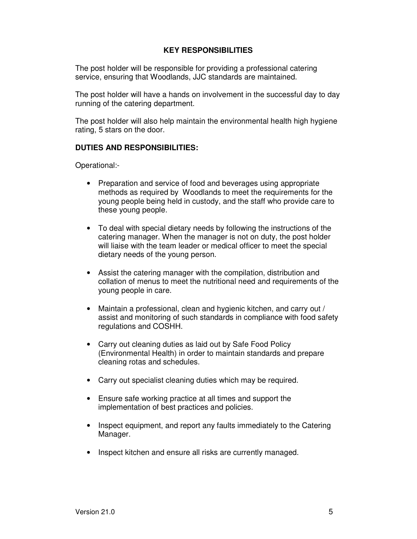#### **KEY RESPONSIBILITIES**

The post holder will be responsible for providing a professional catering service, ensuring that Woodlands, JJC standards are maintained.

The post holder will have a hands on involvement in the successful day to day running of the catering department.

The post holder will also help maintain the environmental health high hygiene rating, 5 stars on the door.

#### **DUTIES AND RESPONSIBILITIES:**

Operational:-

- Preparation and service of food and beverages using appropriate methods as required by Woodlands to meet the requirements for the young people being held in custody, and the staff who provide care to these young people.
- To deal with special dietary needs by following the instructions of the catering manager. When the manager is not on duty, the post holder will liaise with the team leader or medical officer to meet the special dietary needs of the young person.
- Assist the catering manager with the compilation, distribution and collation of menus to meet the nutritional need and requirements of the young people in care.
- Maintain a professional, clean and hygienic kitchen, and carry out / assist and monitoring of such standards in compliance with food safety regulations and COSHH.
- Carry out cleaning duties as laid out by Safe Food Policy (Environmental Health) in order to maintain standards and prepare cleaning rotas and schedules.
- Carry out specialist cleaning duties which may be required.
- Ensure safe working practice at all times and support the implementation of best practices and policies.
- Inspect equipment, and report any faults immediately to the Catering Manager.
- Inspect kitchen and ensure all risks are currently managed.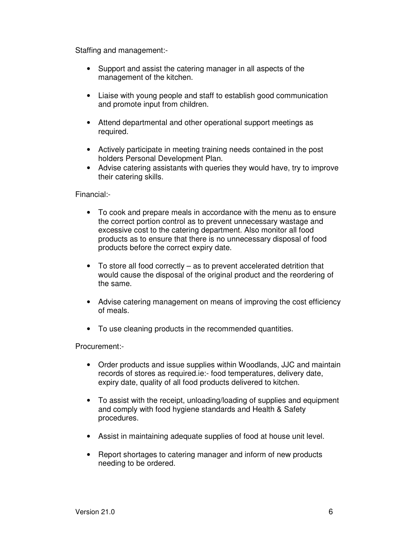Staffing and management:-

- Support and assist the catering manager in all aspects of the management of the kitchen.
- Liaise with young people and staff to establish good communication and promote input from children.
- Attend departmental and other operational support meetings as required.
- Actively participate in meeting training needs contained in the post holders Personal Development Plan.
- Advise catering assistants with queries they would have, try to improve their catering skills.

Financial:-

- To cook and prepare meals in accordance with the menu as to ensure the correct portion control as to prevent unnecessary wastage and excessive cost to the catering department. Also monitor all food products as to ensure that there is no unnecessary disposal of food products before the correct expiry date.
- To store all food correctly as to prevent accelerated detrition that would cause the disposal of the original product and the reordering of the same.
- Advise catering management on means of improving the cost efficiency of meals.
- To use cleaning products in the recommended quantities.

Procurement:-

- Order products and issue supplies within Woodlands, JJC and maintain records of stores as required.ie:- food temperatures, delivery date, expiry date, quality of all food products delivered to kitchen.
- To assist with the receipt, unloading/loading of supplies and equipment and comply with food hygiene standards and Health & Safety procedures.
- Assist in maintaining adequate supplies of food at house unit level.
- Report shortages to catering manager and inform of new products needing to be ordered.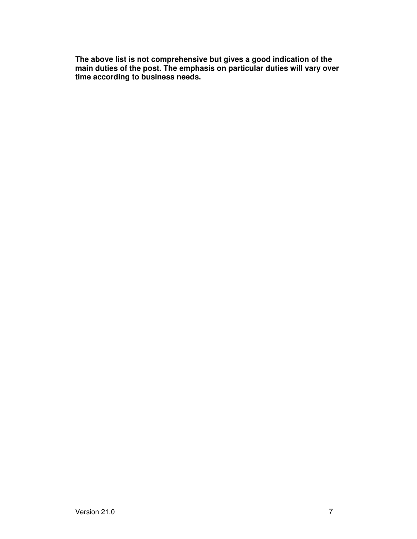**The above list is not comprehensive but gives a good indication of the main duties of the post. The emphasis on particular duties will vary over time according to business needs.**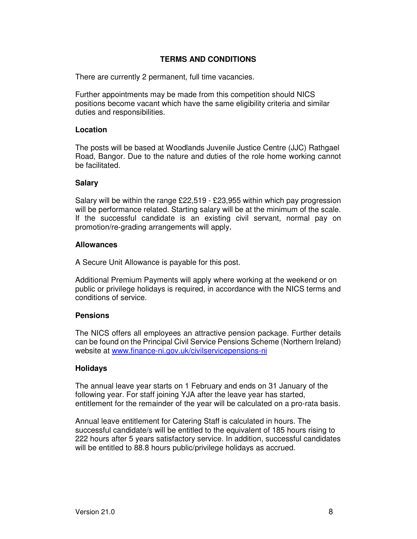#### **TERMS AND CONDITIONS**

There are currently 2 permanent, full time vacancies.

Further appointments may be made from this competition should NICS positions become vacant which have the same eligibility criteria and similar duties and responsibilities.

#### **Location**

The posts will be based at Woodlands Juvenile Justice Centre (JJC) Rathgael Road, Bangor. Due to the nature and duties of the role home working cannot be facilitated.

#### **Salary**

Salary will be within the range £22,519 - £23,955 within which pay progression will be performance related. Starting salary will be at the minimum of the scale. If the successful candidate is an existing civil servant, normal pay on promotion/re-grading arrangements will apply**.**

#### **Allowances**

A Secure Unit Allowance is payable for this post.

Additional Premium Payments will apply where working at the weekend or on public or privilege holidays is required, in accordance with the NICS terms and conditions of service.

#### **Pensions**

The NICS offers all employees an attractive pension package. Further details can be found on the Principal Civil Service Pensions Scheme (Northern Ireland) website at www.finance-ni.gov.uk/civilservicepensions-ni

#### **Holidays**

The annual leave year starts on 1 February and ends on 31 January of the following year. For staff joining YJA after the leave year has started, entitlement for the remainder of the year will be calculated on a pro-rata basis.

Annual leave entitlement for Catering Staff is calculated in hours. The successful candidate/s will be entitled to the equivalent of 185 hours rising to 222 hours after 5 years satisfactory service. In addition, successful candidates will be entitled to 88.8 hours public/privilege holidays as accrued.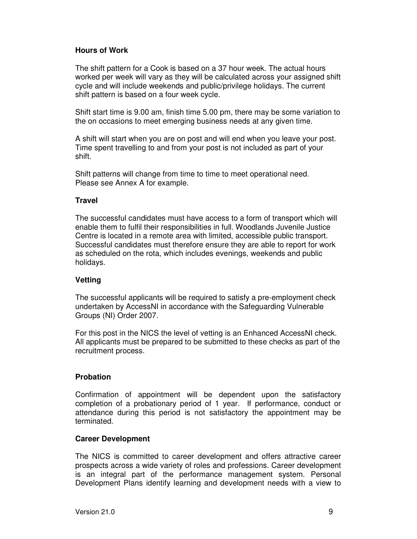#### **Hours of Work**

The shift pattern for a Cook is based on a 37 hour week. The actual hours worked per week will vary as they will be calculated across your assigned shift cycle and will include weekends and public/privilege holidays. The current shift pattern is based on a four week cycle.

Shift start time is 9.00 am, finish time 5.00 pm, there may be some variation to the on occasions to meet emerging business needs at any given time.

A shift will start when you are on post and will end when you leave your post. Time spent travelling to and from your post is not included as part of your shift.

Shift patterns will change from time to time to meet operational need. Please see Annex A for example.

#### **Travel**

The successful candidates must have access to a form of transport which will enable them to fulfil their responsibilities in full. Woodlands Juvenile Justice Centre is located in a remote area with limited, accessible public transport. Successful candidates must therefore ensure they are able to report for work as scheduled on the rota, which includes evenings, weekends and public holidays.

#### **Vetting**

The successful applicants will be required to satisfy a pre-employment check undertaken by AccessNI in accordance with the Safeguarding Vulnerable Groups (NI) Order 2007.

For this post in the NICS the level of vetting is an Enhanced AccessNI check. All applicants must be prepared to be submitted to these checks as part of the recruitment process.

#### **Probation**

Confirmation of appointment will be dependent upon the satisfactory completion of a probationary period of 1 year. If performance, conduct or attendance during this period is not satisfactory the appointment may be terminated.

#### **Career Development**

The NICS is committed to career development and offers attractive career prospects across a wide variety of roles and professions. Career development is an integral part of the performance management system. Personal Development Plans identify learning and development needs with a view to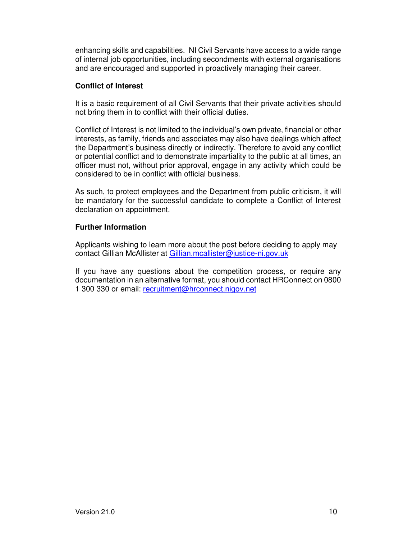enhancing skills and capabilities. NI Civil Servants have access to a wide range of internal job opportunities, including secondments with external organisations and are encouraged and supported in proactively managing their career.

#### **Conflict of Interest**

It is a basic requirement of all Civil Servants that their private activities should not bring them in to conflict with their official duties.

Conflict of Interest is not limited to the individual's own private, financial or other interests, as family, friends and associates may also have dealings which affect the Department's business directly or indirectly. Therefore to avoid any conflict or potential conflict and to demonstrate impartiality to the public at all times, an officer must not, without prior approval, engage in any activity which could be considered to be in conflict with official business.

As such, to protect employees and the Department from public criticism, it will be mandatory for the successful candidate to complete a Conflict of Interest declaration on appointment.

#### **Further Information**

Applicants wishing to learn more about the post before deciding to apply may contact Gillian McAllister at Gillian.mcallister@justice-ni.gov.uk

If you have any questions about the competition process, or require any documentation in an alternative format, you should contact HRConnect on 0800 1 300 330 or email: recruitment@hrconnect.nigov.net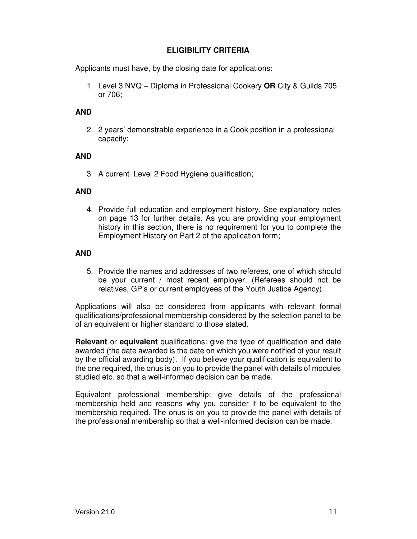#### **ELIGIBILITY CRITERIA**

Applicants must have, by the closing date for applications:

1. Level 3 NVQ – Diploma in Professional Cookery **OR** City & Guilds 705 or 706;

#### **AND**

2. 2 years' demonstrable experience in a Cook position in a professional capacity;

#### **AND**

3. A current Level 2 Food Hygiene qualification;

#### **AND**

4. Provide full education and employment history. See explanatory notes on page 13 for further details. As you are providing your employment history in this section, there is no requirement for you to complete the Employment History on Part 2 of the application form;

#### **AND**

5. Provide the names and addresses of two referees, one of which should be your current / most recent employer. (Referees should not be relatives, GP's or current employees of the Youth Justice Agency).

Applications will also be considered from applicants with relevant formal qualifications/professional membership considered by the selection panel to be of an equivalent or higher standard to those stated.

**Relevant** or **equivalent** qualifications: give the type of qualification and date awarded (the date awarded is the date on which you were notified of your result by the official awarding body). If you believe your qualification is equivalent to the one required, the onus is on you to provide the panel with details of modules studied etc. so that a well-informed decision can be made.

Equivalent professional membership: give details of the professional membership held and reasons why you consider it to be equivalent to the membership required. The onus is on you to provide the panel with details of the professional membership so that a well-informed decision can be made.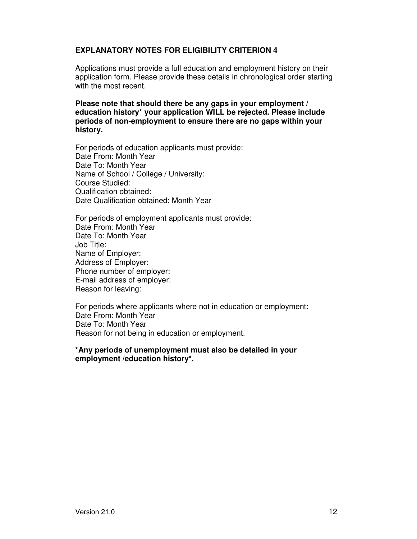#### **EXPLANATORY NOTES FOR ELIGIBILITY CRITERION 4**

Applications must provide a full education and employment history on their application form. Please provide these details in chronological order starting with the most recent.

**Please note that should there be any gaps in your employment / education history\* your application WILL be rejected. Please include periods of non-employment to ensure there are no gaps within your history.** 

For periods of education applicants must provide: Date From: Month Year Date To: Month Year Name of School / College / University: Course Studied: Qualification obtained: Date Qualification obtained: Month Year

For periods of employment applicants must provide: Date From: Month Year Date To: Month Year Job Title: Name of Employer: Address of Employer: Phone number of employer: E-mail address of employer: Reason for leaving:

For periods where applicants where not in education or employment: Date From: Month Year Date To: Month Year Reason for not being in education or employment.

#### **\*Any periods of unemployment must also be detailed in your employment /education history\*.**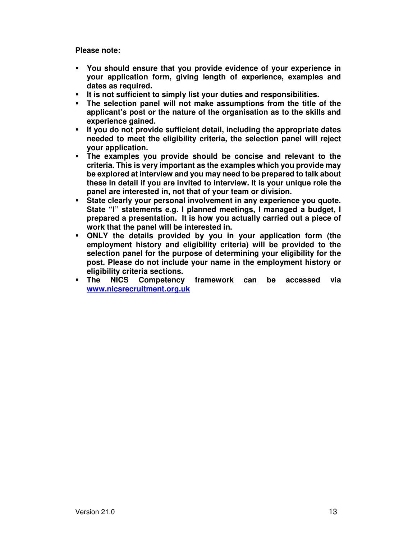**Please note:** 

- **You should ensure that you provide evidence of your experience in your application form, giving length of experience, examples and dates as required.**
- **It is not sufficient to simply list your duties and responsibilities.**
- **The selection panel will not make assumptions from the title of the applicant's post or the nature of the organisation as to the skills and experience gained.**
- **If you do not provide sufficient detail, including the appropriate dates needed to meet the eligibility criteria, the selection panel will reject your application.**
- **The examples you provide should be concise and relevant to the criteria. This is very important as the examples which you provide may be explored at interview and you may need to be prepared to talk about these in detail if you are invited to interview. It is your unique role the panel are interested in, not that of your team or division.**
- **State clearly your personal involvement in any experience you quote. State "I" statements e.g. I planned meetings, I managed a budget, I prepared a presentation. It is how you actually carried out a piece of work that the panel will be interested in.**
- **ONLY the details provided by you in your application form (the employment history and eligibility criteria) will be provided to the selection panel for the purpose of determining your eligibility for the post. Please do not include your name in the employment history or eligibility criteria sections.**
- **The NICS Competency framework can be accessed via www.nicsrecruitment.org.uk**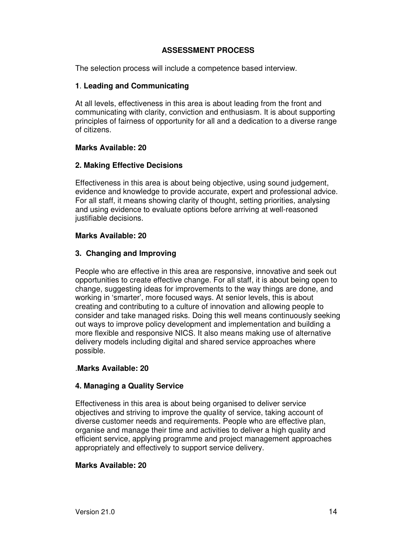#### **ASSESSMENT PROCESS**

The selection process will include a competence based interview.

#### **1**. **Leading and Communicating**

At all levels, effectiveness in this area is about leading from the front and communicating with clarity, conviction and enthusiasm. It is about supporting principles of fairness of opportunity for all and a dedication to a diverse range of citizens.

#### **Marks Available: 20**

#### **2. Making Effective Decisions**

Effectiveness in this area is about being objective, using sound judgement, evidence and knowledge to provide accurate, expert and professional advice. For all staff, it means showing clarity of thought, setting priorities, analysing and using evidence to evaluate options before arriving at well-reasoned justifiable decisions.

#### **Marks Available: 20**

#### **3. Changing and Improving**

People who are effective in this area are responsive, innovative and seek out opportunities to create effective change. For all staff, it is about being open to change, suggesting ideas for improvements to the way things are done, and working in 'smarter', more focused ways. At senior levels, this is about creating and contributing to a culture of innovation and allowing people to consider and take managed risks. Doing this well means continuously seeking out ways to improve policy development and implementation and building a more flexible and responsive NICS. It also means making use of alternative delivery models including digital and shared service approaches where possible.

#### .**Marks Available: 20**

#### **4. Managing a Quality Service**

Effectiveness in this area is about being organised to deliver service objectives and striving to improve the quality of service, taking account of diverse customer needs and requirements. People who are effective plan, organise and manage their time and activities to deliver a high quality and efficient service, applying programme and project management approaches appropriately and effectively to support service delivery.

#### **Marks Available: 20**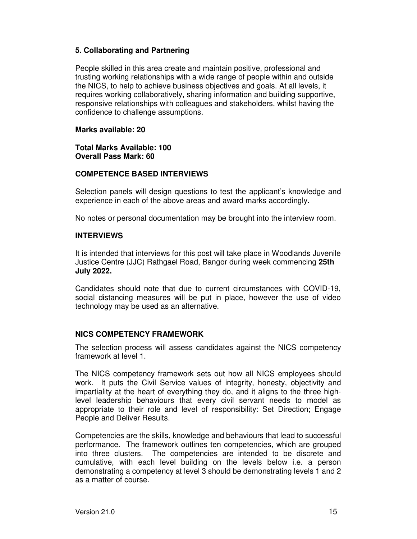#### **5. Collaborating and Partnering**

People skilled in this area create and maintain positive, professional and trusting working relationships with a wide range of people within and outside the NICS, to help to achieve business objectives and goals. At all levels, it requires working collaboratively, sharing information and building supportive, responsive relationships with colleagues and stakeholders, whilst having the confidence to challenge assumptions.

#### **Marks available: 20**

**Total Marks Available: 100 Overall Pass Mark: 60**

#### **COMPETENCE BASED INTERVIEWS**

Selection panels will design questions to test the applicant's knowledge and experience in each of the above areas and award marks accordingly.

No notes or personal documentation may be brought into the interview room.

#### **INTERVIEWS**

It is intended that interviews for this post will take place in Woodlands Juvenile Justice Centre (JJC) Rathgael Road, Bangor during week commencing **25th July 2022.** 

Candidates should note that due to current circumstances with COVID-19, social distancing measures will be put in place, however the use of video technology may be used as an alternative.

#### **NICS COMPETENCY FRAMEWORK**

The selection process will assess candidates against the NICS competency framework at level 1.

The NICS competency framework sets out how all NICS employees should work. It puts the Civil Service values of integrity, honesty, objectivity and impartiality at the heart of everything they do, and it aligns to the three highlevel leadership behaviours that every civil servant needs to model as appropriate to their role and level of responsibility: Set Direction; Engage People and Deliver Results.

Competencies are the skills, knowledge and behaviours that lead to successful performance. The framework outlines ten competencies, which are grouped into three clusters. The competencies are intended to be discrete and cumulative, with each level building on the levels below i.e. a person demonstrating a competency at level 3 should be demonstrating levels 1 and 2 as a matter of course.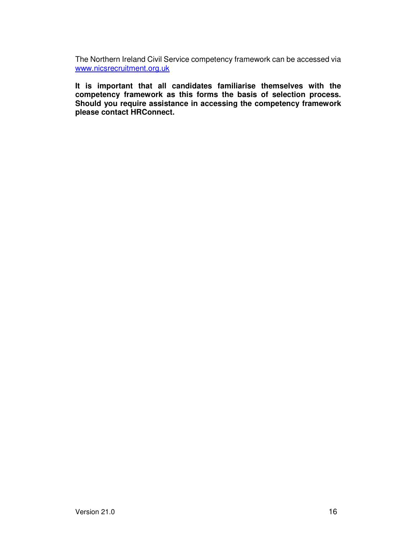The Northern Ireland Civil Service competency framework can be accessed via www.nicsrecruitment.org.uk

**It is important that all candidates familiarise themselves with the competency framework as this forms the basis of selection process. Should you require assistance in accessing the competency framework please contact HRConnect.**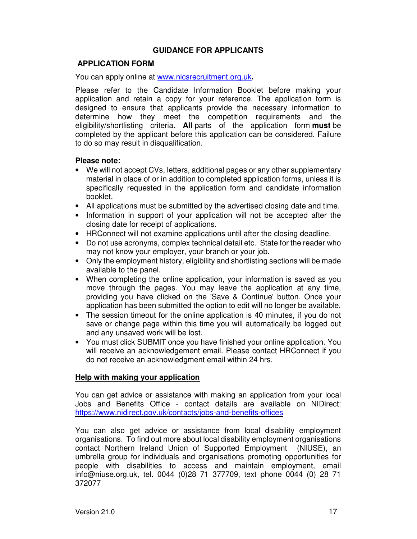#### **GUIDANCE FOR APPLICANTS**

#### **APPLICATION FORM**

You can apply online at www.nicsrecruitment.org.uk**.** 

Please refer to the Candidate Information Booklet before making your application and retain a copy for your reference. The application form is designed to ensure that applicants provide the necessary information to determine how they meet the competition requirements and the eligibility/shortlisting criteria. **All** parts of the application form **must** be completed by the applicant before this application can be considered. Failure to do so may result in disqualification.

#### **Please note:**

- We will not accept CVs, letters, additional pages or any other supplementary material in place of or in addition to completed application forms, unless it is specifically requested in the application form and candidate information booklet.
- All applications must be submitted by the advertised closing date and time.
- Information in support of your application will not be accepted after the closing date for receipt of applications.
- HRConnect will not examine applications until after the closing deadline.
- Do not use acronyms, complex technical detail etc. State for the reader who may not know your employer, your branch or your job.
- Only the employment history, eligibility and shortlisting sections will be made available to the panel.
- When completing the online application, your information is saved as you move through the pages. You may leave the application at any time, providing you have clicked on the 'Save & Continue' button. Once your application has been submitted the option to edit will no longer be available.
- The session timeout for the online application is 40 minutes, if you do not save or change page within this time you will automatically be logged out and any unsaved work will be lost.
- You must click SUBMIT once you have finished your online application. You will receive an acknowledgement email. Please contact HRConnect if you do not receive an acknowledgment email within 24 hrs.

#### **Help with making your application**

You can get advice or assistance with making an application from your local Jobs and Benefits Office - contact details are available on NIDirect: https://www.nidirect.gov.uk/contacts/jobs-and-benefits-offices

You can also get advice or assistance from local disability employment organisations. To find out more about local disability employment organisations contact Northern Ireland Union of Supported Employment (NIUSE), an umbrella group for individuals and organisations promoting opportunities for people with disabilities to access and maintain employment, email info@niuse.org.uk, tel. 0044 (0)28 71 377709, text phone 0044 (0) 28 71 372077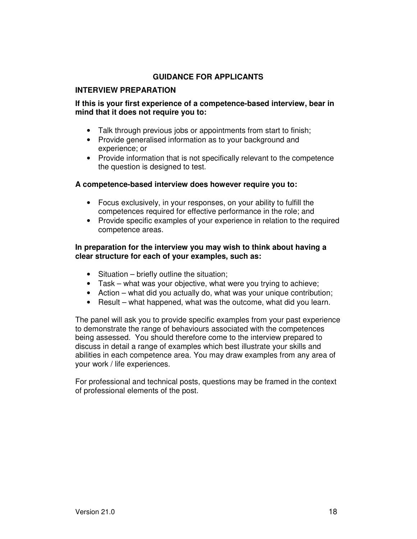#### **GUIDANCE FOR APPLICANTS**

#### **INTERVIEW PREPARATION**

#### **If this is your first experience of a competence-based interview, bear in mind that it does not require you to:**

- Talk through previous jobs or appointments from start to finish;
- Provide generalised information as to your background and experience; or
- Provide information that is not specifically relevant to the competence the question is designed to test.

#### **A competence-based interview does however require you to:**

- Focus exclusively, in your responses, on your ability to fulfill the competences required for effective performance in the role; and
- Provide specific examples of your experience in relation to the required competence areas.

#### **In preparation for the interview you may wish to think about having a clear structure for each of your examples, such as:**

- Situation briefly outline the situation;
- Task what was your objective, what were you trying to achieve;
- Action what did you actually do, what was your unique contribution;
- Result what happened, what was the outcome, what did you learn.

The panel will ask you to provide specific examples from your past experience to demonstrate the range of behaviours associated with the competences being assessed. You should therefore come to the interview prepared to discuss in detail a range of examples which best illustrate your skills and abilities in each competence area. You may draw examples from any area of your work / life experiences.

For professional and technical posts, questions may be framed in the context of professional elements of the post.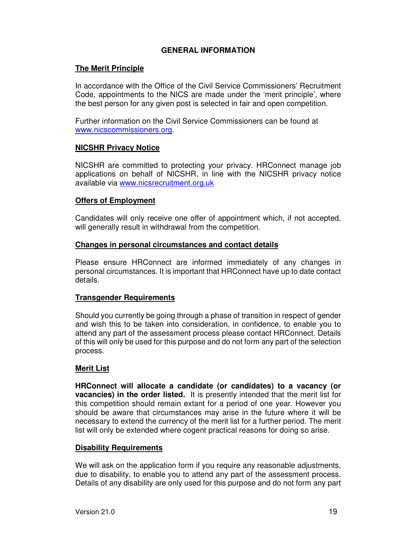#### **GENERAL INFORMATION**

#### **The Merit Principle**

In accordance with the Office of the Civil Service Commissioners' Recruitment Code, appointments to the NICS are made under the 'merit principle', where the best person for any given post is selected in fair and open competition.

Further information on the Civil Service Commissioners can be found at www.nicscommissioners.org.

#### **NICSHR Privacy Notice**

NICSHR are committed to protecting your privacy. HRConnect manage job applications on behalf of NICSHR, in line with the NICSHR privacy notice available via www.nicsrecruitment.org.uk

#### **Offers of Employment**

Candidates will only receive one offer of appointment which, if not accepted, will generally result in withdrawal from the competition.

#### **Changes in personal circumstances and contact details**

Please ensure HRConnect are informed immediately of any changes in personal circumstances. It is important that HRConnect have up to date contact details.

#### **Transgender Requirements**

Should you currently be going through a phase of transition in respect of gender and wish this to be taken into consideration, in confidence, to enable you to attend any part of the assessment process please contact HRConnect. Details of this will only be used for this purpose and do not form any part of the selection process.

#### **Merit List**

**HRConnect will allocate a candidate (or candidates) to a vacancy (or vacancies) in the order listed.** It is presently intended that the merit list for this competition should remain extant for a period of one year. However you should be aware that circumstances may arise in the future where it will be necessary to extend the currency of the merit list for a further period. The merit list will only be extended where cogent practical reasons for doing so arise.

#### **Disability Requirements**

We will ask on the application form if you require any reasonable adjustments, due to disability, to enable you to attend any part of the assessment process. Details of any disability are only used for this purpose and do not form any part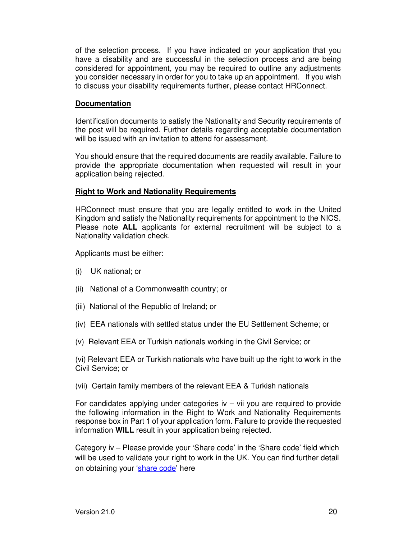of the selection process. If you have indicated on your application that you have a disability and are successful in the selection process and are being considered for appointment, you may be required to outline any adjustments you consider necessary in order for you to take up an appointment. If you wish to discuss your disability requirements further, please contact HRConnect.

#### **Documentation**

Identification documents to satisfy the Nationality and Security requirements of the post will be required. Further details regarding acceptable documentation will be issued with an invitation to attend for assessment.

You should ensure that the required documents are readily available. Failure to provide the appropriate documentation when requested will result in your application being rejected.

#### **Right to Work and Nationality Requirements**

HRConnect must ensure that you are legally entitled to work in the United Kingdom and satisfy the Nationality requirements for appointment to the NICS. Please note **ALL** applicants for external recruitment will be subject to a Nationality validation check.

Applicants must be either:

- (i) UK national; or
- (ii) National of a Commonwealth country; or
- (iii) National of the Republic of Ireland; or
- (iv) EEA nationals with settled status under the EU Settlement Scheme; or
- (v) Relevant EEA or Turkish nationals working in the Civil Service; or

(vi) Relevant EEA or Turkish nationals who have built up the right to work in the Civil Service; or

(vii) Certain family members of the relevant EEA & Turkish nationals

For candidates applying under categories  $iv - vii$  you are required to provide the following information in the Right to Work and Nationality Requirements response box in Part 1 of your application form. Failure to provide the requested information **WILL** result in your application being rejected.

Category iv – Please provide your 'Share code' in the 'Share code' field which will be used to validate your right to work in the UK. You can find further detail on obtaining your 'share code' here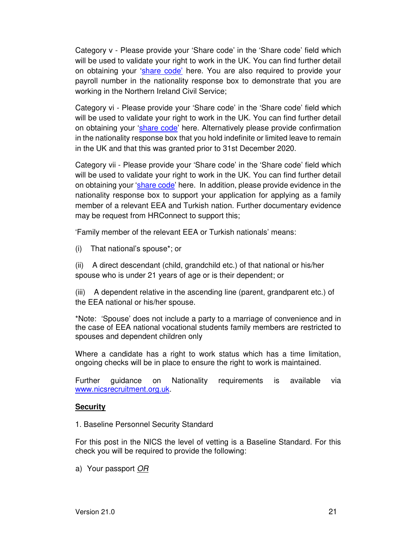Category v - Please provide your 'Share code' in the 'Share code' field which will be used to validate your right to work in the UK. You can find further detail on obtaining your 'share code' here. You are also required to provide your payroll number in the nationality response box to demonstrate that you are working in the Northern Ireland Civil Service;

Category vi - Please provide your 'Share code' in the 'Share code' field which will be used to validate your right to work in the UK. You can find further detail on obtaining your 'share code' here. Alternatively please provide confirmation in the nationality response box that you hold indefinite or limited leave to remain in the UK and that this was granted prior to 31st December 2020.

Category vii - Please provide your 'Share code' in the 'Share code' field which will be used to validate your right to work in the UK. You can find further detail on obtaining your 'share code' here. In addition, please provide evidence in the nationality response box to support your application for applying as a family member of a relevant EEA and Turkish nation. Further documentary evidence may be request from HRConnect to support this;

'Family member of the relevant EEA or Turkish nationals' means:

(i) That national's spouse\*; or

(ii) A direct descendant (child, grandchild etc.) of that national or his/her spouse who is under 21 years of age or is their dependent; or

(iii) A dependent relative in the ascending line (parent, grandparent etc.) of the EEA national or his/her spouse.

\*Note: 'Spouse' does not include a party to a marriage of convenience and in the case of EEA national vocational students family members are restricted to spouses and dependent children only

Where a candidate has a right to work status which has a time limitation, ongoing checks will be in place to ensure the right to work is maintained.

Further guidance on Nationality requirements is available via www.nicsrecruitment.org.uk.

#### **Security**

1. Baseline Personnel Security Standard

For this post in the NICS the level of vetting is a Baseline Standard. For this check you will be required to provide the following:

a) Your passport OR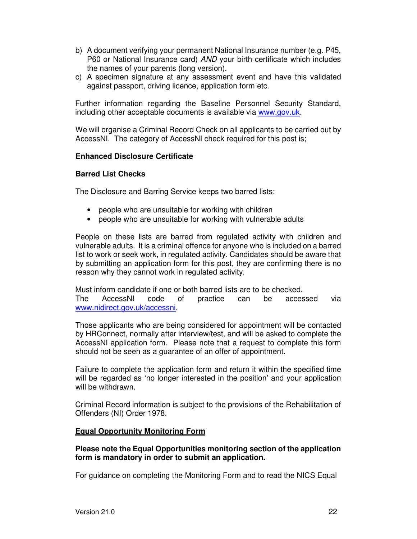- b) A document verifying your permanent National Insurance number (e.g. P45, P60 or National Insurance card) AND your birth certificate which includes the names of your parents (long version).
- c) A specimen signature at any assessment event and have this validated against passport, driving licence, application form etc.

Further information regarding the Baseline Personnel Security Standard, including other acceptable documents is available via www.gov.uk.

We will organise a Criminal Record Check on all applicants to be carried out by AccessNI. The category of AccessNI check required for this post is;

#### **Enhanced Disclosure Certificate**

#### **Barred List Checks**

The Disclosure and Barring Service keeps two barred lists:

- people who are unsuitable for working with children
- people who are unsuitable for working with vulnerable adults

People on these lists are barred from regulated activity with children and vulnerable adults. It is a criminal offence for anyone who is included on a barred list to work or seek work, in regulated activity. Candidates should be aware that by submitting an application form for this post, they are confirming there is no reason why they cannot work in regulated activity.

Must inform candidate if one or both barred lists are to be checked. The AccessNI code of practice can be accessed via www.nidirect.gov.uk/accessni.

Those applicants who are being considered for appointment will be contacted by HRConnect, normally after interview/test, and will be asked to complete the AccessNI application form. Please note that a request to complete this form should not be seen as a guarantee of an offer of appointment.

Failure to complete the application form and return it within the specified time will be regarded as 'no longer interested in the position' and your application will be withdrawn.

Criminal Record information is subject to the provisions of the Rehabilitation of Offenders (NI) Order 1978.

#### **Equal Opportunity Monitoring Form**

#### **Please note the Equal Opportunities monitoring section of the application form is mandatory in order to submit an application.**

For guidance on completing the Monitoring Form and to read the NICS Equal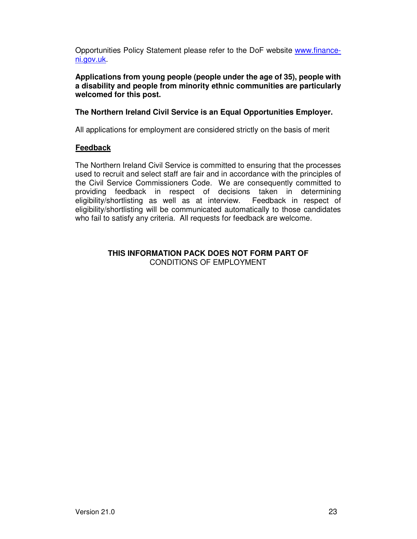Opportunities Policy Statement please refer to the DoF website www.financeni.gov.uk.

**Applications from young people (people under the age of 35), people with a disability and people from minority ethnic communities are particularly welcomed for this post.** 

#### **The Northern Ireland Civil Service is an Equal Opportunities Employer.**

All applications for employment are considered strictly on the basis of merit

#### **Feedback**

The Northern Ireland Civil Service is committed to ensuring that the processes used to recruit and select staff are fair and in accordance with the principles of the Civil Service Commissioners Code. We are consequently committed to providing feedback in respect of decisions taken in determining eligibility/shortlisting as well as at interview. Feedback in respect of eligibility/shortlisting will be communicated automatically to those candidates who fail to satisfy any criteria. All requests for feedback are welcome.

#### **THIS INFORMATION PACK DOES NOT FORM PART OF**  CONDITIONS OF EMPLOYMENT